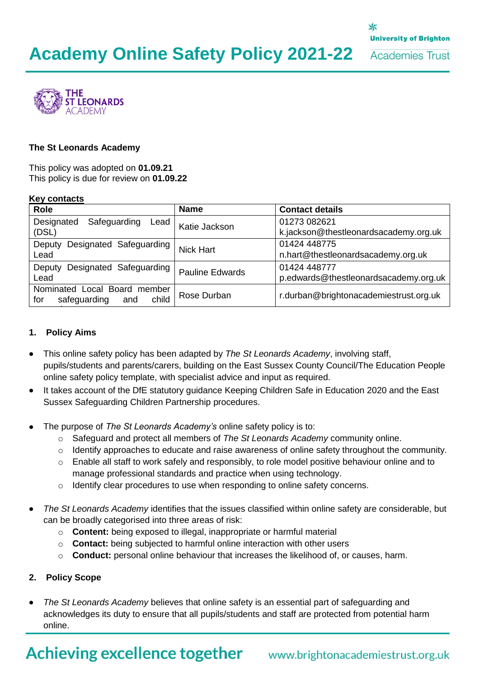

### **The St Leonards Academy**

This policy was adopted on **01.09.21** This policy is due for review on **01.09.22**

#### **Key contacts**

| <b>Name</b>   | <b>Contact details</b>                                |
|---------------|-------------------------------------------------------|
| Katie Jackson | 01273 082621<br>k.jackson@thestleonardsacademy.org.uk |
|               | 01424 448775                                          |
|               | n.hart@thestleonardsacademy.org.uk                    |
|               | 01424 448777                                          |
|               | p.edwards@thestleonardsacademy.org.uk                 |
| Rose Durban   | r.durban@brightonacademiestrust.org.uk                |
|               | <b>Nick Hart</b><br><b>Pauline Edwards</b>            |

### **1. Policy Aims**

- This online safety policy has been adapted by *The St Leonards Academy*, involving staff, pupils/students and parents/carers, building on the East Sussex County Council/The Education People online safety policy template, with specialist advice and input as required.
- It takes account of the DfE statutory guidance Keeping Children Safe in Education 2020 and the East Sussex Safeguarding Children Partnership procedures.
- The purpose of *The St Leonards Academy's* online safety policy is to:
	- o Safeguard and protect all members of *The St Leonards Academy* community online.
	- o Identify approaches to educate and raise awareness of online safety throughout the community.
	- o Enable all staff to work safely and responsibly, to role model positive behaviour online and to manage professional standards and practice when using technology.
	- $\circ$  Identify clear procedures to use when responding to online safety concerns.
- *The St Leonards Academy* identifies that the issues classified within online safety are considerable, but can be broadly categorised into three areas of risk:
	- o **Content:** being exposed to illegal, inappropriate or harmful material
	- o **Contact:** being subjected to harmful online interaction with other users
	- o **Conduct:** personal online behaviour that increases the likelihood of, or causes, harm.

### **2. Policy Scope**

 *The St Leonards Academy* believes that online safety is an essential part of safeguarding and acknowledges its duty to ensure that all pupils/students and staff are protected from potential harm online.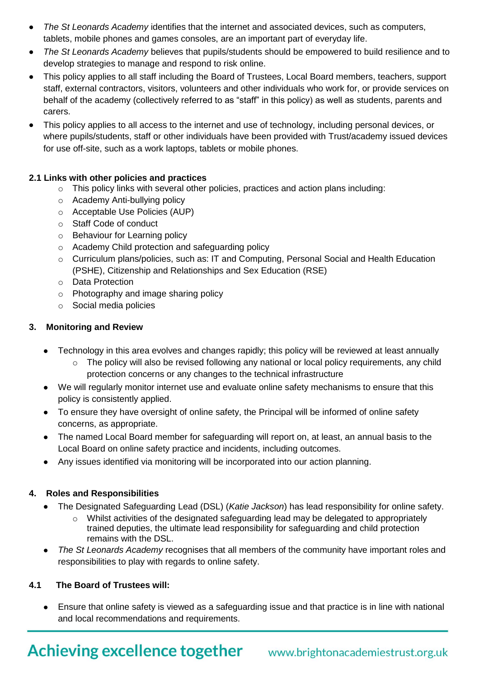- *The St Leonards Academy* identifies that the internet and associated devices, such as computers, tablets, mobile phones and games consoles, are an important part of everyday life.
- *The St Leonards Academy* believes that pupils/students should be empowered to build resilience and to develop strategies to manage and respond to risk online.
- This policy applies to all staff including the Board of Trustees, Local Board members, teachers, support staff, external contractors, visitors, volunteers and other individuals who work for, or provide services on behalf of the academy (collectively referred to as "staff" in this policy) as well as students, parents and carers.
- This policy applies to all access to the internet and use of technology, including personal devices, or where pupils/students, staff or other individuals have been provided with Trust/academy issued devices for use off-site, such as a work laptops, tablets or mobile phones.

# **2.1 Links with other policies and practices**

- $\circ$  This policy links with several other policies, practices and action plans including:
- o Academy Anti-bullying policy
- o Acceptable Use Policies (AUP)
- o Staff Code of conduct
- o Behaviour for Learning policy
- o Academy Child protection and safeguarding policy
- o Curriculum plans/policies, such as: IT and Computing, Personal Social and Health Education (PSHE), Citizenship and Relationships and Sex Education (RSE)
- o Data Protection
- o Photography and image sharing policy
- o Social media policies

# **3. Monitoring and Review**

- Technology in this area evolves and changes rapidly; this policy will be reviewed at least annually
	- o The policy will also be revised following any national or local policy requirements, any child protection concerns or any changes to the technical infrastructure
- We will regularly monitor internet use and evaluate online safety mechanisms to ensure that this policy is consistently applied.
- To ensure they have oversight of online safety, the Principal will be informed of online safety concerns, as appropriate.
- The named Local Board member for safeguarding will report on, at least, an annual basis to the Local Board on online safety practice and incidents, including outcomes.
- Any issues identified via monitoring will be incorporated into our action planning.

# **4. Roles and Responsibilities**

- The Designated Safeguarding Lead (DSL) (*Katie Jackson*) has lead responsibility for online safety.
	- $\circ$  Whilst activities of the designated safeguarding lead may be delegated to appropriately trained deputies, the ultimate lead responsibility for safeguarding and child protection remains with the DSL.
- *The St Leonards Academy* recognises that all members of the community have important roles and responsibilities to play with regards to online safety.

# **4.1 The Board of Trustees will:**

 Ensure that online safety is viewed as a safeguarding issue and that practice is in line with national and local recommendations and requirements.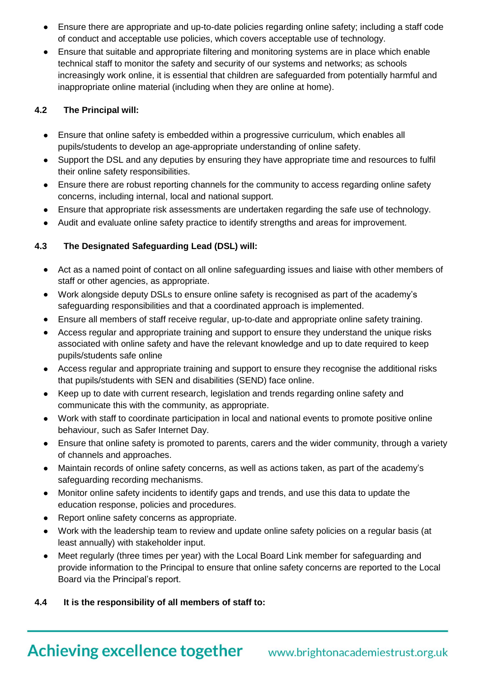- Ensure there are appropriate and up-to-date policies regarding online safety; including a staff code of conduct and acceptable use policies, which covers acceptable use of technology.
- Ensure that suitable and appropriate filtering and monitoring systems are in place which enable technical staff to monitor the safety and security of our systems and networks; as schools increasingly work online, it is essential that children are safeguarded from potentially harmful and inappropriate online material (including when they are online at home).

# **4.2 The Principal will:**

- Ensure that online safety is embedded within a progressive curriculum, which enables all pupils/students to develop an age-appropriate understanding of online safety.
- Support the DSL and any deputies by ensuring they have appropriate time and resources to fulfil their online safety responsibilities.
- Ensure there are robust reporting channels for the community to access regarding online safety concerns, including internal, local and national support.
- Ensure that appropriate risk assessments are undertaken regarding the safe use of technology.
- Audit and evaluate online safety practice to identify strengths and areas for improvement.

# **4.3 The Designated Safeguarding Lead (DSL) will:**

- Act as a named point of contact on all online safeguarding issues and liaise with other members of staff or other agencies, as appropriate.
- Work alongside deputy DSLs to ensure online safety is recognised as part of the academy's safeguarding responsibilities and that a coordinated approach is implemented.
- Ensure all members of staff receive regular, up-to-date and appropriate online safety training.
- Access regular and appropriate training and support to ensure they understand the unique risks associated with online safety and have the relevant knowledge and up to date required to keep pupils/students safe online
- Access regular and appropriate training and support to ensure they recognise the additional risks that pupils/students with SEN and disabilities (SEND) face online.
- Keep up to date with current research, legislation and trends regarding online safety and communicate this with the community, as appropriate.
- Work with staff to coordinate participation in local and national events to promote positive online behaviour, such as Safer Internet Day.
- Ensure that online safety is promoted to parents, carers and the wider community, through a variety of channels and approaches.
- Maintain records of online safety concerns, as well as actions taken, as part of the academy's safeguarding recording mechanisms.
- Monitor online safety incidents to identify gaps and trends, and use this data to update the education response, policies and procedures.
- Report online safety concerns as appropriate.
- Work with the leadership team to review and update online safety policies on a regular basis (at least annually) with stakeholder input.
- Meet regularly (three times per year) with the Local Board Link member for safeguarding and provide information to the Principal to ensure that online safety concerns are reported to the Local Board via the Principal's report.

# **4.4 It is the responsibility of all members of staff to:**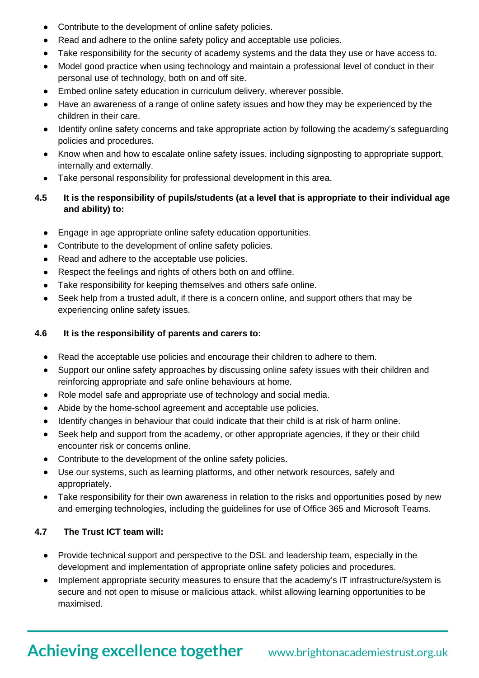- Contribute to the development of online safety policies.
- Read and adhere to the online safety policy and acceptable use policies.
- Take responsibility for the security of academy systems and the data they use or have access to.
- Model good practice when using technology and maintain a professional level of conduct in their personal use of technology, both on and off site.
- Embed online safety education in curriculum delivery, wherever possible.
- Have an awareness of a range of online safety issues and how they may be experienced by the children in their care.
- Identify online safety concerns and take appropriate action by following the academy's safeguarding policies and procedures.
- Know when and how to escalate online safety issues, including signposting to appropriate support, internally and externally.
- Take personal responsibility for professional development in this area.
- **4.5 It is the responsibility of pupils/students (at a level that is appropriate to their individual age and ability) to:** 
	- Engage in age appropriate online safety education opportunities.
	- Contribute to the development of online safety policies.
	- Read and adhere to the acceptable use policies.
	- Respect the feelings and rights of others both on and offline.
	- Take responsibility for keeping themselves and others safe online.
	- Seek help from a trusted adult, if there is a concern online, and support others that may be experiencing online safety issues.

# **4.6 It is the responsibility of parents and carers to:**

- Read the acceptable use policies and encourage their children to adhere to them.
- Support our online safety approaches by discussing online safety issues with their children and reinforcing appropriate and safe online behaviours at home.
- Role model safe and appropriate use of technology and social media.
- Abide by the home-school agreement and acceptable use policies.
- Identify changes in behaviour that could indicate that their child is at risk of harm online.
- Seek help and support from the academy, or other appropriate agencies, if they or their child encounter risk or concerns online.
- Contribute to the development of the online safety policies.
- Use our systems, such as learning platforms, and other network resources, safely and appropriately.
- Take responsibility for their own awareness in relation to the risks and opportunities posed by new and emerging technologies, including the guidelines for use of Office 365 and Microsoft Teams.

# **4.7 The Trust ICT team will:**

- Provide technical support and perspective to the DSL and leadership team, especially in the development and implementation of appropriate online safety policies and procedures.
- Implement appropriate security measures to ensure that the academy's IT infrastructure/system is secure and not open to misuse or malicious attack, whilst allowing learning opportunities to be maximised.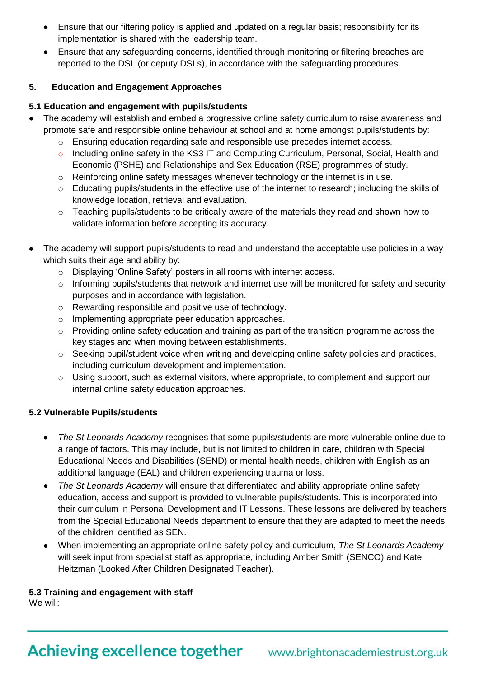- Ensure that our filtering policy is applied and updated on a regular basis; responsibility for its implementation is shared with the leadership team.
- Ensure that any safeguarding concerns, identified through monitoring or filtering breaches are reported to the DSL (or deputy DSLs), in accordance with the safeguarding procedures.

# **5. Education and Engagement Approaches**

# **5.1 Education and engagement with pupils/students**

- The academy will establish and embed a progressive online safety curriculum to raise awareness and promote safe and responsible online behaviour at school and at home amongst pupils/students by:
	- $\circ$  Ensuring education regarding safe and responsible use precedes internet access.
	- o Including online safety in the KS3 IT and Computing Curriculum, Personal, Social, Health and Economic (PSHE) and Relationships and Sex Education (RSE) programmes of study.
	- o Reinforcing online safety messages whenever technology or the internet is in use.
	- $\circ$  Educating pupils/students in the effective use of the internet to research; including the skills of knowledge location, retrieval and evaluation.
	- o Teaching pupils/students to be critically aware of the materials they read and shown how to validate information before accepting its accuracy.
- The academy will support pupils/students to read and understand the acceptable use policies in a way which suits their age and ability by:
	- o Displaying 'Online Safety' posters in all rooms with internet access.
	- o Informing pupils/students that network and internet use will be monitored for safety and security purposes and in accordance with legislation.
	- o Rewarding responsible and positive use of technology.
	- o Implementing appropriate peer education approaches.
	- $\circ$  Providing online safety education and training as part of the transition programme across the key stages and when moving between establishments.
	- o Seeking pupil/student voice when writing and developing online safety policies and practices, including curriculum development and implementation.
	- o Using support, such as external visitors, where appropriate, to complement and support our internal online safety education approaches.

# **5.2 Vulnerable Pupils/students**

- *The St Leonards Academy* recognises that some pupils/students are more vulnerable online due to a range of factors. This may include, but is not limited to children in care, children with Special Educational Needs and Disabilities (SEND) or mental health needs, children with English as an additional language (EAL) and children experiencing trauma or loss.
- *The St Leonards Academy* will ensure that differentiated and ability appropriate online safety education, access and support is provided to vulnerable pupils/students. This is incorporated into their curriculum in Personal Development and IT Lessons. These lessons are delivered by teachers from the Special Educational Needs department to ensure that they are adapted to meet the needs of the children identified as SEN.
- When implementing an appropriate online safety policy and curriculum, *The St Leonards Academy* will seek input from specialist staff as appropriate, including Amber Smith (SENCO) and Kate Heitzman (Looked After Children Designated Teacher).

# **5.3 Training and engagement with staff**

We will: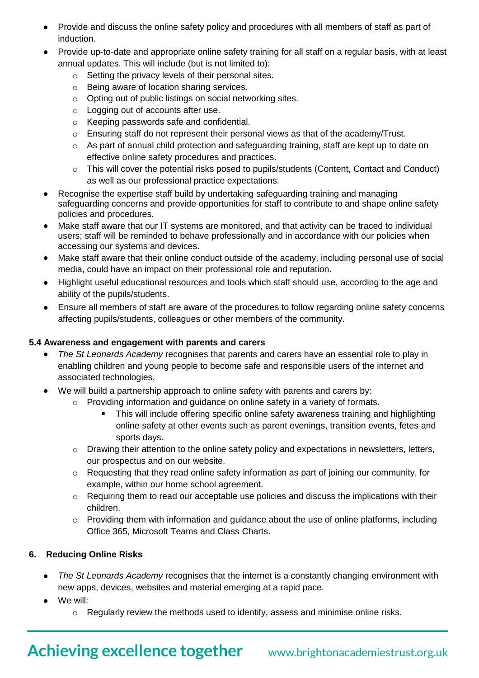- Provide and discuss the online safety policy and procedures with all members of staff as part of induction.
- Provide up-to-date and appropriate online safety training for all staff on a regular basis, with at least annual updates. This will include (but is not limited to):
	- o Setting the privacy levels of their personal sites.
	- o Being aware of location sharing services.
	- o Opting out of public listings on social networking sites.
	- o Logging out of accounts after use.
	- o Keeping passwords safe and confidential.
	- o Ensuring staff do not represent their personal views as that of the academy/Trust.
	- o As part of annual child protection and safeguarding training, staff are kept up to date on effective online safety procedures and practices.
	- o This will cover the potential risks posed to pupils/students (Content, Contact and Conduct) as well as our professional practice expectations.
- Recognise the expertise staff build by undertaking safeguarding training and managing safeguarding concerns and provide opportunities for staff to contribute to and shape online safety policies and procedures.
- Make staff aware that our IT systems are monitored, and that activity can be traced to individual users; staff will be reminded to behave professionally and in accordance with our policies when accessing our systems and devices.
- Make staff aware that their online conduct outside of the academy, including personal use of social media, could have an impact on their professional role and reputation.
- Highlight useful educational resources and tools which staff should use, according to the age and ability of the pupils/students.
- Ensure all members of staff are aware of the procedures to follow regarding online safety concerns affecting pupils/students, colleagues or other members of the community.

# **5.4 Awareness and engagement with parents and carers**

- *The St Leonards Academy* recognises that parents and carers have an essential role to play in enabling children and young people to become safe and responsible users of the internet and associated technologies.
- We will build a partnership approach to online safety with parents and carers by:
	- $\circ$  Providing information and quidance on online safety in a variety of formats.
		- This will include offering specific online safety awareness training and highlighting online safety at other events such as parent evenings, transition events, fetes and sports days.
	- o Drawing their attention to the online safety policy and expectations in newsletters, letters, our prospectus and on our website.
	- $\circ$  Requesting that they read online safety information as part of joining our community, for example, within our home school agreement.
	- o Requiring them to read our acceptable use policies and discuss the implications with their children.
	- $\circ$  Providing them with information and quidance about the use of online platforms, including Office 365, Microsoft Teams and Class Charts.

# **6. Reducing Online Risks**

- *The St Leonards Academy* recognises that the internet is a constantly changing environment with new apps, devices, websites and material emerging at a rapid pace.
- We will:
	- $\circ$  Regularly review the methods used to identify, assess and minimise online risks.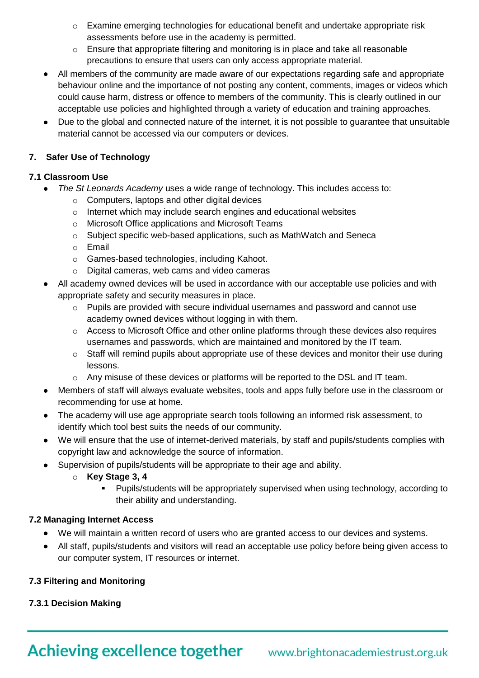- $\circ$  Examine emerging technologies for educational benefit and undertake appropriate risk assessments before use in the academy is permitted.
- $\circ$  Ensure that appropriate filtering and monitoring is in place and take all reasonable precautions to ensure that users can only access appropriate material.
- All members of the community are made aware of our expectations regarding safe and appropriate behaviour online and the importance of not posting any content, comments, images or videos which could cause harm, distress or offence to members of the community. This is clearly outlined in our acceptable use policies and highlighted through a variety of education and training approaches.
- Due to the global and connected nature of the internet, it is not possible to guarantee that unsuitable material cannot be accessed via our computers or devices.

# **7. Safer Use of Technology**

# **7.1 Classroom Use**

- *The St Leonards Academy* uses a wide range of technology. This includes access to:
	- o Computers, laptops and other digital devices
	- o Internet which may include search engines and educational websites
	- o Microsoft Office applications and Microsoft Teams
	- o Subject specific web-based applications, such as MathWatch and Seneca
	- o Email
	- o Games-based technologies, including Kahoot.
	- o Digital cameras, web cams and video cameras
- All academy owned devices will be used in accordance with our acceptable use policies and with appropriate safety and security measures in place.
	- $\circ$  Pupils are provided with secure individual usernames and password and cannot use academy owned devices without logging in with them.
	- o Access to Microsoft Office and other online platforms through these devices also requires usernames and passwords, which are maintained and monitored by the IT team.
	- o Staff will remind pupils about appropriate use of these devices and monitor their use during lessons.
	- $\circ$  Any misuse of these devices or platforms will be reported to the DSL and IT team.
- Members of staff will always evaluate websites, tools and apps fully before use in the classroom or recommending for use at home.
- The academy will use age appropriate search tools following an informed risk assessment, to identify which tool best suits the needs of our community.
- We will ensure that the use of internet-derived materials, by staff and pupils/students complies with copyright law and acknowledge the source of information.
- Supervision of pupils/students will be appropriate to their age and ability.
	- o **Key Stage 3, 4**
		- Pupils/students will be appropriately supervised when using technology, according to their ability and understanding.

# **7.2 Managing Internet Access**

- We will maintain a written record of users who are granted access to our devices and systems.
- All staff, pupils/students and visitors will read an acceptable use policy before being given access to our computer system, IT resources or internet.

# **7.3 Filtering and Monitoring**

# **7.3.1 Decision Making**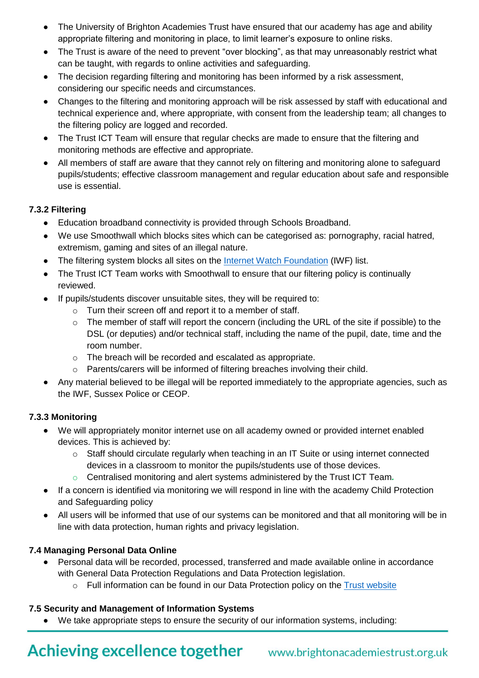- The University of Brighton Academies Trust have ensured that our academy has age and ability appropriate filtering and monitoring in place, to limit learner's exposure to online risks.
- The Trust is aware of the need to prevent "over blocking", as that may unreasonably restrict what can be taught, with regards to online activities and safeguarding.
- The decision regarding filtering and monitoring has been informed by a risk assessment, considering our specific needs and circumstances.
- Changes to the filtering and monitoring approach will be risk assessed by staff with educational and technical experience and, where appropriate, with consent from the leadership team; all changes to the filtering policy are logged and recorded.
- The Trust ICT Team will ensure that regular checks are made to ensure that the filtering and monitoring methods are effective and appropriate.
- All members of staff are aware that they cannot rely on filtering and monitoring alone to safeguard pupils/students; effective classroom management and regular education about safe and responsible use is essential.

# **7.3.2 Filtering**

- Education broadband connectivity is provided through Schools Broadband.
- We use Smoothwall which blocks sites which can be categorised as: pornography, racial hatred, extremism, gaming and sites of an illegal nature.
- The filtering system blocks all sites on the [Internet Watch Foundation](https://www.iwf.org.uk/) (IWF) list.
- The Trust ICT Team works with Smoothwall to ensure that our filtering policy is continually reviewed.
- If pupils/students discover unsuitable sites, they will be required to:
	- o Turn their screen off and report it to a member of staff.
	- $\circ$  The member of staff will report the concern (including the URL of the site if possible) to the DSL (or deputies) and/or technical staff, including the name of the pupil, date, time and the room number.
	- o The breach will be recorded and escalated as appropriate.
	- o Parents/carers will be informed of filtering breaches involving their child.
- Any material believed to be illegal will be reported immediately to the appropriate agencies, such as the IWF, Sussex Police or CEOP.

# **7.3.3 Monitoring**

- We will appropriately monitor internet use on all academy owned or provided internet enabled devices. This is achieved by:
	- $\circ$  Staff should circulate regularly when teaching in an IT Suite or using internet connected devices in a classroom to monitor the pupils/students use of those devices.
	- o Centralised monitoring and alert systems administered by the Trust ICT Team*.*
- If a concern is identified via monitoring we will respond in line with the academy Child Protection and Safeguarding policy
- All users will be informed that use of our systems can be monitored and that all monitoring will be in line with data protection, human rights and privacy legislation.

# **7.4 Managing Personal Data Online**

- Personal data will be recorded, processed, transferred and made available online in accordance with General Data Protection Regulations and Data Protection legislation.
	- $\circ$  Full information can be found in our Data Protection policy on the [Trust website](https://www.brightonacademiestrust.org.uk/key-policies/data-protection-information)

# **7.5 Security and Management of Information Systems**

We take appropriate steps to ensure the security of our information systems, including: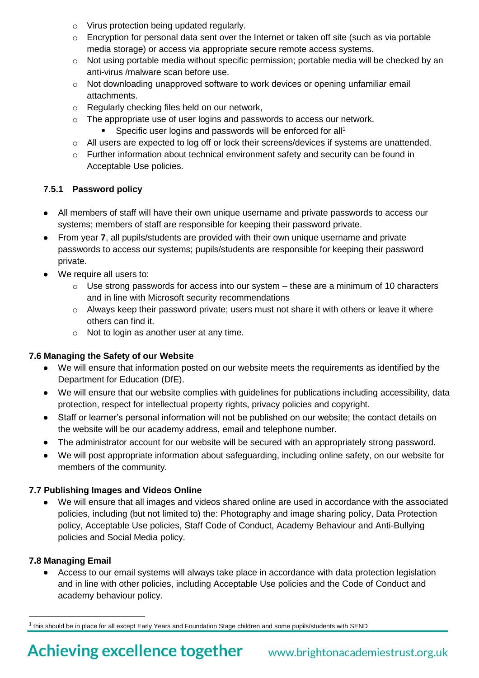- o Virus protection being updated regularly.
- $\circ$  Encryption for personal data sent over the Internet or taken off site (such as via portable media storage) or access via appropriate secure remote access systems.
- $\circ$  Not using portable media without specific permission; portable media will be checked by an anti-virus /malware scan before use.
- $\circ$  Not downloading unapproved software to work devices or opening unfamiliar email attachments.
- o Regularly checking files held on our network,
- $\circ$  The appropriate use of user logins and passwords to access our network.
	- Specific user logins and passwords will be enforced for all<sup>1</sup>
- o All users are expected to log off or lock their screens/devices if systems are unattended.
- $\circ$  Further information about technical environment safety and security can be found in Acceptable Use policies.

# **7.5.1 Password policy**

- All members of staff will have their own unique username and private passwords to access our systems; members of staff are responsible for keeping their password private.
- From year **7**, all pupils/students are provided with their own unique username and private passwords to access our systems; pupils/students are responsible for keeping their password private.
- We require all users to:
	- $\circ$  Use strong passwords for access into our system these are a minimum of 10 characters and in line with Microsoft security recommendations
	- $\circ$  Always keep their password private; users must not share it with others or leave it where others can find it.
	- o Not to login as another user at any time.

# **7.6 Managing the Safety of our Website**

- We will ensure that information posted on our website meets the requirements as identified by the Department for Education (DfE).
- We will ensure that our website complies with guidelines for publications including accessibility, data protection, respect for intellectual property rights, privacy policies and copyright.
- Staff or learner's personal information will not be published on our website; the contact details on the website will be our academy address, email and telephone number.
- The administrator account for our website will be secured with an appropriately strong password.
- We will post appropriate information about safeguarding, including online safety, on our website for members of the community.

# **7.7 Publishing Images and Videos Online**

 We will ensure that all images and videos shared online are used in accordance with the associated policies, including (but not limited to) the: Photography and image sharing policy, Data Protection policy, Acceptable Use policies, Staff Code of Conduct, Academy Behaviour and Anti-Bullying policies and Social Media policy.

# **7.8 Managing Email**

l

 Access to our email systems will always take place in accordance with data protection legislation and in line with other policies, including Acceptable Use policies and the Code of Conduct and academy behaviour policy.

 $^{\rm 1}$  this should be in place for all except Early Years and Foundation Stage children and some pupils/students with SEND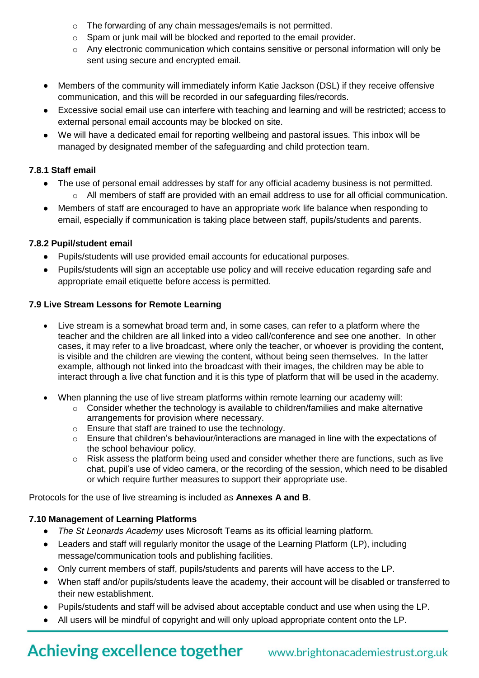- o The forwarding of any chain messages/emails is not permitted.
- o Spam or junk mail will be blocked and reported to the email provider.
- o Any electronic communication which contains sensitive or personal information will only be sent using secure and encrypted email.
- Members of the community will immediately inform Katie Jackson (DSL) if they receive offensive communication, and this will be recorded in our safeguarding files/records.
- Excessive social email use can interfere with teaching and learning and will be restricted; access to external personal email accounts may be blocked on site.
- We will have a dedicated email for reporting wellbeing and pastoral issues. This inbox will be managed by designated member of the safeguarding and child protection team.

# **7.8.1 Staff email**

- The use of personal email addresses by staff for any official academy business is not permitted.  $\circ$  All members of staff are provided with an email address to use for all official communication.
- Members of staff are encouraged to have an appropriate work life balance when responding to email, especially if communication is taking place between staff, pupils/students and parents.

# **7.8.2 Pupil/student email**

- Pupils/students will use provided email accounts for educational purposes.
- Pupils/students will sign an acceptable use policy and will receive education regarding safe and appropriate email etiquette before access is permitted.

# **7.9 Live Stream Lessons for Remote Learning**

- Live stream is a somewhat broad term and, in some cases, can refer to a platform where the teacher and the children are all linked into a video call/conference and see one another. In other cases, it may refer to a live broadcast, where only the teacher, or whoever is providing the content, is visible and the children are viewing the content, without being seen themselves. In the latter example, although not linked into the broadcast with their images, the children may be able to interact through a live chat function and it is this type of platform that will be used in the academy.
- When planning the use of live stream platforms within remote learning our academy will:
	- o Consider whether the technology is available to children/families and make alternative arrangements for provision where necessary.
	- o Ensure that staff are trained to use the technology.
	- o Ensure that children's behaviour/interactions are managed in line with the expectations of the school behaviour policy.
	- $\circ$  Risk assess the platform being used and consider whether there are functions, such as live chat, pupil's use of video camera, or the recording of the session, which need to be disabled or which require further measures to support their appropriate use.

Protocols for the use of live streaming is included as **Annexes A and B**.

# **7.10 Management of Learning Platforms**

- *The St Leonards Academy* uses Microsoft Teams as its official learning platform.
- Leaders and staff will regularly monitor the usage of the Learning Platform (LP), including message/communication tools and publishing facilities.
- Only current members of staff, pupils/students and parents will have access to the LP.
- When staff and/or pupils/students leave the academy, their account will be disabled or transferred to their new establishment.
- Pupils/students and staff will be advised about acceptable conduct and use when using the LP.
- All users will be mindful of copyright and will only upload appropriate content onto the LP.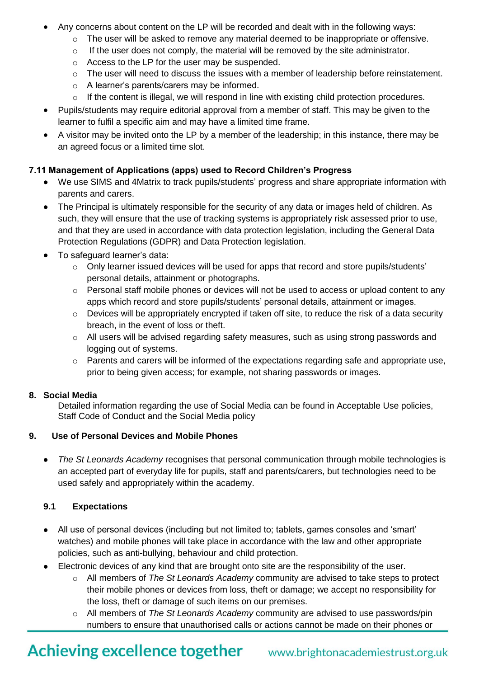- Any concerns about content on the LP will be recorded and dealt with in the following ways:
	- o The user will be asked to remove any material deemed to be inappropriate or offensive.
	- $\circ$  If the user does not comply, the material will be removed by the site administrator.
	- o Access to the LP for the user may be suspended.
	- $\circ$  The user will need to discuss the issues with a member of leadership before reinstatement.
	- o A learner's parents/carers may be informed.
	- $\circ$  If the content is illegal, we will respond in line with existing child protection procedures.
- Pupils/students may require editorial approval from a member of staff. This may be given to the learner to fulfil a specific aim and may have a limited time frame.
- A visitor may be invited onto the LP by a member of the leadership; in this instance, there may be an agreed focus or a limited time slot.

# **7.11 Management of Applications (apps) used to Record Children's Progress**

- We use SIMS and 4Matrix to track pupils/students' progress and share appropriate information with parents and carers.
- The Principal is ultimately responsible for the security of any data or images held of children. As such, they will ensure that the use of tracking systems is appropriately risk assessed prior to use, and that they are used in accordance with data protection legislation, including the General Data Protection Regulations (GDPR) and Data Protection legislation.
- To safeguard learner's data:
	- $\circ$  Only learner issued devices will be used for apps that record and store pupils/students' personal details, attainment or photographs.
	- $\circ$  Personal staff mobile phones or devices will not be used to access or upload content to any apps which record and store pupils/students' personal details, attainment or images.
	- $\circ$  Devices will be appropriately encrypted if taken off site, to reduce the risk of a data security breach, in the event of loss or theft.
	- $\circ$  All users will be advised regarding safety measures, such as using strong passwords and logging out of systems.
	- o Parents and carers will be informed of the expectations regarding safe and appropriate use, prior to being given access; for example, not sharing passwords or images.

# **8. Social Media**

Detailed information regarding the use of Social Media can be found in Acceptable Use policies, Staff Code of Conduct and the Social Media policy

# **9. Use of Personal Devices and Mobile Phones**

 *The St Leonards Academy* recognises that personal communication through mobile technologies is an accepted part of everyday life for pupils, staff and parents/carers, but technologies need to be used safely and appropriately within the academy.

# **9.1 Expectations**

- All use of personal devices (including but not limited to; tablets, games consoles and 'smart' watches) and mobile phones will take place in accordance with the law and other appropriate policies, such as anti-bullying, behaviour and child protection.
- Electronic devices of any kind that are brought onto site are the responsibility of the user.
	- o All members of *The St Leonards Academy* community are advised to take steps to protect their mobile phones or devices from loss, theft or damage; we accept no responsibility for the loss, theft or damage of such items on our premises.
	- o All members of *The St Leonards Academy* community are advised to use passwords/pin numbers to ensure that unauthorised calls or actions cannot be made on their phones or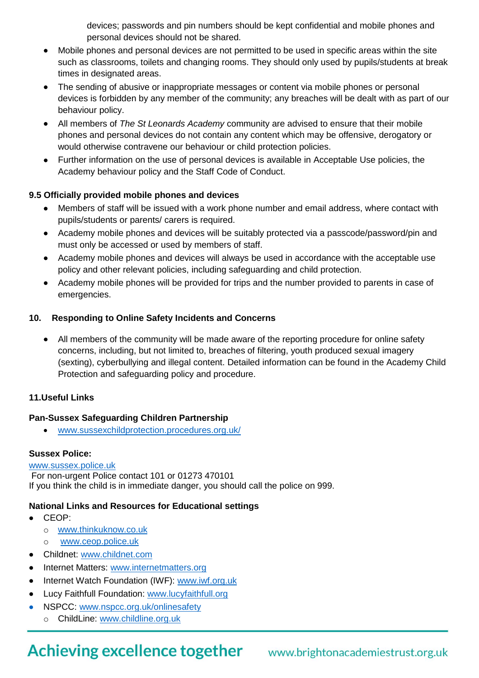devices; passwords and pin numbers should be kept confidential and mobile phones and personal devices should not be shared.

- Mobile phones and personal devices are not permitted to be used in specific areas within the site such as classrooms, toilets and changing rooms. They should only used by pupils/students at break times in designated areas.
- The sending of abusive or inappropriate messages or content via mobile phones or personal devices is forbidden by any member of the community; any breaches will be dealt with as part of our behaviour policy.
- All members of *The St Leonards Academy* community are advised to ensure that their mobile phones and personal devices do not contain any content which may be offensive, derogatory or would otherwise contravene our behaviour or child protection policies.
- Further information on the use of personal devices is available in Acceptable Use policies, the Academy behaviour policy and the Staff Code of Conduct.

# **9.5 Officially provided mobile phones and devices**

- Members of staff will be issued with a work phone number and email address, where contact with pupils/students or parents/ carers is required.
- Academy mobile phones and devices will be suitably protected via a passcode/password/pin and must only be accessed or used by members of staff.
- Academy mobile phones and devices will always be used in accordance with the acceptable use policy and other relevant policies, including safeguarding and child protection.
- Academy mobile phones will be provided for trips and the number provided to parents in case of emergencies.

# **10. Responding to Online Safety Incidents and Concerns**

 All members of the community will be made aware of the reporting procedure for online safety concerns, including, but not limited to, breaches of filtering, youth produced sexual imagery (sexting), cyberbullying and illegal content. Detailed information can be found in the Academy Child Protection and safeguarding policy and procedure.

# **11.Useful Links**

# **Pan-Sussex Safeguarding Children Partnership**

www[.sussexchildprotection.procedures.org.uk/](https://sussexchildprotection.procedures.org.uk/)

# **Sussex Police:**

# [www.sussex.police.uk](http://www.sussex.police.uk/)

For non-urgent Police contact 101 or 01273 470101 If you think the child is in immediate danger, you should call the police on 999.

# **National Links and Resources for Educational settings**

- CEOP:
	- o [www.thinkuknow.co.uk](http://www.thinkuknow.co.uk/)
	- o [www.ceop.police.uk](http://www.ceop.police.uk/)
- Childnet: [www.childnet.com](http://www.childnet.com/)
- Internet Matters: [www.internetmatters.org](http://www.internetmatters.org/)
- Internet Watch Foundation (IWF): [www.iwf.org.uk](http://www.iwf.org.uk/)
- Lucy Faithfull Foundation: [www.lucyfaithfull.org](http://www.lucyfaithfull.org/)
- NSPCC: [www.nspcc.org.uk/onlinesafety](http://www.nspcc.org.uk/onlinesafety)
	- o ChildLine: [www.childline.org.uk](http://www.childline.org.uk/)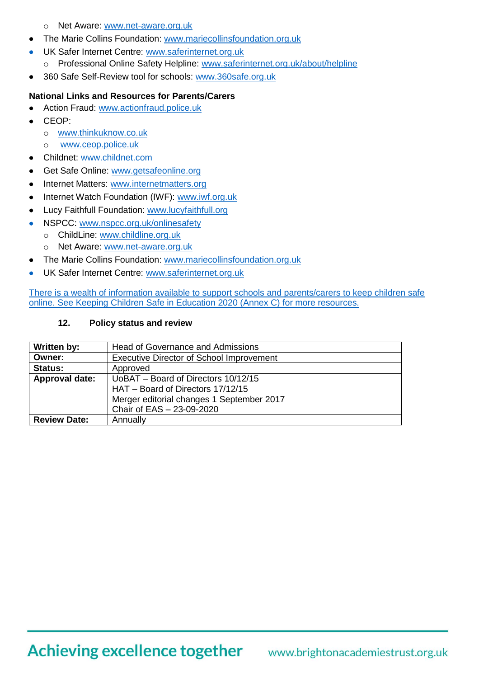- o Net Aware: [www.net-aware.org.uk](http://www.net-aware.org.uk/)
- The Marie Collins Foundation: [www.mariecollinsfoundation.org.uk](http://www.mariecollinsfoundation.org.uk/)
- UK Safer Internet Centre: [www.saferinternet.org.uk](http://www.saferinternet.org.uk/)
	- o Professional Online Safety Helpline: [www.saferinternet.org.uk/about/helpline](http://www.saferinternet.org.uk/about/helpline)
- 360 Safe Self-Review tool for schools: [www.360safe.org.uk](http://www.360safe.org.uk/)

# **National Links and Resources for Parents/Carers**

- Action Fraud: [www.actionfraud.police.uk](http://www.actionfraud.police.uk/)
- CEOP:
	- o [www.thinkuknow.co.uk](http://www.thinkuknow.co.uk/)
	- o [www.ceop.police.uk](http://www.ceop.police.uk/)
- Childnet: [www.childnet.com](http://www.childnet.com/)
- Get Safe Online: [www.getsafeonline.org](http://www.getsafeonline.org/)
- Internet Matters: [www.internetmatters.org](http://www.internetmatters.org/)
- Internet Watch Foundation (IWF): [www.iwf.org.uk](http://www.iwf.org.uk/)
- Lucy Faithfull Foundation: [www.lucyfaithfull.org](http://www.lucyfaithfull.org/)
	- NSPCC: [www.nspcc.org.uk/onlinesafety](http://www.nspcc.org.uk/onlinesafety)
	- o ChildLine: [www.childline.org.uk](http://www.childline.org.uk/)
	- o Net Aware: [www.net-aware.org.uk](http://www.net-aware.org.uk/)
- The Marie Collins Foundation: [www.mariecollinsfoundation.org.uk](http://www.mariecollinsfoundation.org.uk/)
- UK Safer Internet Centre: [www.saferinternet.org.uk](http://www.saferinternet.org.uk/)

There is a wealth of information available to support schools and parents/carers to keep children safe online. See Keeping Children Safe in Education 2020 (Annex C) for more resources.

### **12. Policy status and review**

| Written by:         | Head of Governance and Admissions               |
|---------------------|-------------------------------------------------|
| Owner:              | <b>Executive Director of School Improvement</b> |
| <b>Status:</b>      | Approved                                        |
| Approval date:      | UoBAT – Board of Directors 10/12/15             |
|                     | HAT - Board of Directors 17/12/15               |
|                     | Merger editorial changes 1 September 2017       |
|                     | Chair of EAS - 23-09-2020                       |
| <b>Review Date:</b> | Annually                                        |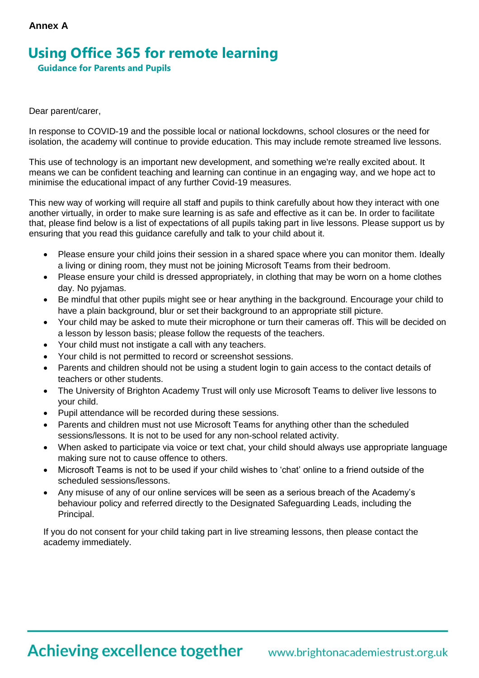# **Annex A**

# **Using Office 365 for remote learning**

 **Guidance for Parents and Pupils** 

#### Dear parent/carer,

In response to COVID-19 and the possible local or national lockdowns, school closures or the need for isolation, the academy will continue to provide education. This may include remote streamed live lessons.

This use of technology is an important new development, and something we're really excited about. It means we can be confident teaching and learning can continue in an engaging way, and we hope act to minimise the educational impact of any further Covid-19 measures.

This new way of working will require all staff and pupils to think carefully about how they interact with one another virtually, in order to make sure learning is as safe and effective as it can be. In order to facilitate that, please find below is a list of expectations of all pupils taking part in live lessons. Please support us by ensuring that you read this guidance carefully and talk to your child about it.

- Please ensure your child joins their session in a shared space where you can monitor them. Ideally a living or dining room, they must not be joining Microsoft Teams from their bedroom.
- Please ensure your child is dressed appropriately, in clothing that may be worn on a home clothes day. No pyjamas.
- Be mindful that other pupils might see or hear anything in the background. Encourage your child to have a plain background, blur or set their background to an appropriate still picture.
- Your child may be asked to mute their microphone or turn their cameras off. This will be decided on a lesson by lesson basis; please follow the requests of the teachers.
- Your child must not instigate a call with any teachers.
- Your child is not permitted to record or screenshot sessions.
- Parents and children should not be using a student login to gain access to the contact details of teachers or other students.
- The University of Brighton Academy Trust will only use Microsoft Teams to deliver live lessons to your child.
- Pupil attendance will be recorded during these sessions.
- Parents and children must not use Microsoft Teams for anything other than the scheduled sessions/lessons. It is not to be used for any non-school related activity.
- When asked to participate via voice or text chat, your child should always use appropriate language making sure not to cause offence to others.
- Microsoft Teams is not to be used if your child wishes to 'chat' online to a friend outside of the scheduled sessions/lessons.
- Any misuse of any of our online services will be seen as a serious breach of the Academy's behaviour policy and referred directly to the Designated Safeguarding Leads, including the Principal.

If you do not consent for your child taking part in live streaming lessons, then please contact the academy immediately.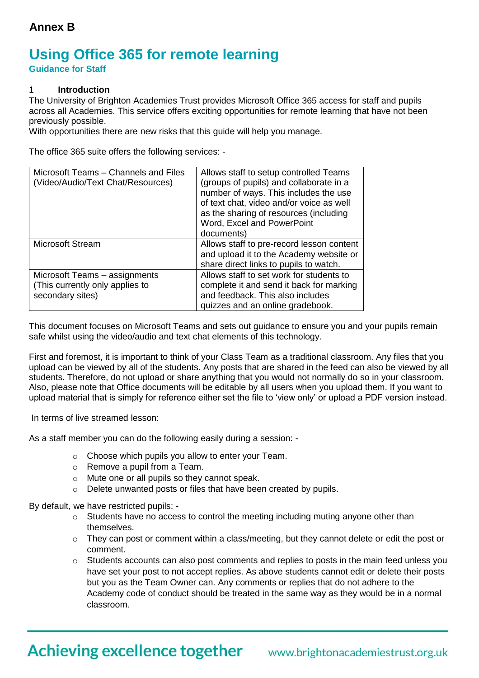# **Using Office 365 for remote learning**

**Guidance for Staff**

### 1 **Introduction**

The University of Brighton Academies Trust provides Microsoft Office 365 access for staff and pupils across all Academies. This service offers exciting opportunities for remote learning that have not been previously possible.

With opportunities there are new risks that this guide will help you manage.

The office 365 suite offers the following services: -

| Microsoft Teams - Channels and Files<br>(Video/Audio/Text Chat/Resources)            | Allows staff to setup controlled Teams<br>(groups of pupils) and collaborate in a<br>number of ways. This includes the use<br>of text chat, video and/or voice as well<br>as the sharing of resources (including<br>Word, Excel and PowerPoint |
|--------------------------------------------------------------------------------------|------------------------------------------------------------------------------------------------------------------------------------------------------------------------------------------------------------------------------------------------|
|                                                                                      | documents)                                                                                                                                                                                                                                     |
| <b>Microsoft Stream</b>                                                              | Allows staff to pre-record lesson content<br>and upload it to the Academy website or<br>share direct links to pupils to watch.                                                                                                                 |
| Microsoft Teams - assignments<br>(This currently only applies to<br>secondary sites) | Allows staff to set work for students to<br>complete it and send it back for marking<br>and feedback. This also includes<br>quizzes and an online gradebook.                                                                                   |

This document focuses on Microsoft Teams and sets out guidance to ensure you and your pupils remain safe whilst using the video/audio and text chat elements of this technology.

First and foremost, it is important to think of your Class Team as a traditional classroom. Any files that you upload can be viewed by all of the students. Any posts that are shared in the feed can also be viewed by all students. Therefore, do not upload or share anything that you would not normally do so in your classroom. Also, please note that Office documents will be editable by all users when you upload them. If you want to upload material that is simply for reference either set the file to 'view only' or upload a PDF version instead.

In terms of live streamed lesson:

As a staff member you can do the following easily during a session: -

- o Choose which pupils you allow to enter your Team.
- o Remove a pupil from a Team.
- o Mute one or all pupils so they cannot speak.
- o Delete unwanted posts or files that have been created by pupils.

By default, we have restricted pupils: -

- $\circ$  Students have no access to control the meeting including muting anyone other than themselves.
- $\circ$  They can post or comment within a class/meeting, but they cannot delete or edit the post or comment.
- $\circ$  Students accounts can also post comments and replies to posts in the main feed unless you have set your post to not accept replies. As above students cannot edit or delete their posts but you as the Team Owner can. Any comments or replies that do not adhere to the Academy code of conduct should be treated in the same way as they would be in a normal classroom.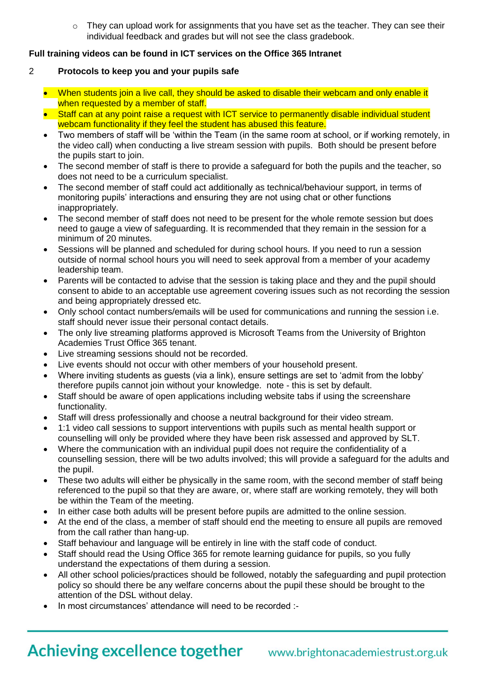$\circ$  They can upload work for assignments that you have set as the teacher. They can see their individual feedback and grades but will not see the class gradebook.

### **Full training videos can be found in ICT services on the Office 365 Intranet**

- 2 **Protocols to keep you and your pupils safe**
	- When students join a live call, they should be asked to disable their webcam and only enable it when requested by a member of staff.
	- Staff can at any point raise a request with ICT service to permanently disable individual student webcam functionality if they feel the student has abused this feature.
	- Two members of staff will be 'within the Team (in the same room at school, or if working remotely, in the video call) when conducting a live stream session with pupils. Both should be present before the pupils start to join.
	- The second member of staff is there to provide a safeguard for both the pupils and the teacher, so does not need to be a curriculum specialist.
	- The second member of staff could act additionally as technical/behaviour support, in terms of monitoring pupils' interactions and ensuring they are not using chat or other functions inappropriately.
	- The second member of staff does not need to be present for the whole remote session but does need to gauge a view of safeguarding. It is recommended that they remain in the session for a minimum of 20 minutes.
	- Sessions will be planned and scheduled for during school hours. If you need to run a session outside of normal school hours you will need to seek approval from a member of your academy leadership team.
	- Parents will be contacted to advise that the session is taking place and they and the pupil should consent to abide to an acceptable use agreement covering issues such as not recording the session and being appropriately dressed etc.
	- Only school contact numbers/emails will be used for communications and running the session i.e. staff should never issue their personal contact details.
	- The only live streaming platforms approved is Microsoft Teams from the University of Brighton Academies Trust Office 365 tenant.
	- Live streaming sessions should not be recorded.
	- Live events should not occur with other members of your household present.
	- Where inviting students as guests (via a link), ensure settings are set to 'admit from the lobby' therefore pupils cannot join without your knowledge. note - this is set by default.
	- Staff should be aware of open applications including website tabs if using the screenshare functionality.
	- Staff will dress professionally and choose a neutral background for their video stream.
	- 1:1 video call sessions to support interventions with pupils such as mental health support or counselling will only be provided where they have been risk assessed and approved by SLT.
	- Where the communication with an individual pupil does not require the confidentiality of a counselling session, there will be two adults involved; this will provide a safeguard for the adults and the pupil.
	- These two adults will either be physically in the same room, with the second member of staff being referenced to the pupil so that they are aware, or, where staff are working remotely, they will both be within the Team of the meeting.
	- In either case both adults will be present before pupils are admitted to the online session.
	- At the end of the class, a member of staff should end the meeting to ensure all pupils are removed from the call rather than hang-up.
	- Staff behaviour and language will be entirely in line with the staff code of conduct.
	- Staff should read the Using Office 365 for remote learning guidance for pupils, so you fully understand the expectations of them during a session.
	- All other school policies/practices should be followed, notably the safeguarding and pupil protection policy so should there be any welfare concerns about the pupil these should be brought to the attention of the DSL without delay.
	- In most circumstances' attendance will need to be recorded :-